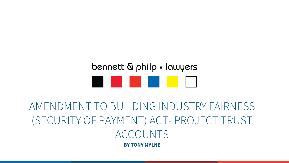# bennett & philp • lawyers . . . . .

AMENDMENT TO BUILDING INDUSTRY FAIRNESS (SECURITY OF PAYMENT) ACT- PROJECT TRUST ACCOUNTS **BY TONY MYLNE**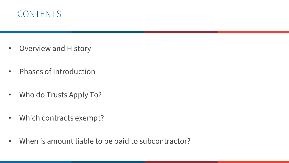

- Overview and History
- Phases of Introduction
- Who do Trusts Apply To?
- Which contracts exempt?
- When is amount liable to be paid to subcontractor?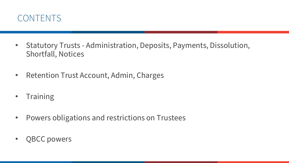

- Statutory Trusts Administration, Deposits, Payments, Dissolution, Shortfall, Notices
- Retention Trust Account, Admin, Charges
- Training
- Powers obligations and restrictions on Trustees
- QBCC powers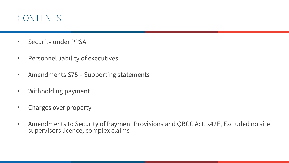### CONTENTS

- Security under PPSA
- Personnel liability of executives
- Amendments S75 Supporting statements
- Withholding payment
- Charges over property
- Amendments to Security of Payment Provisions and QBCC Act, s42E, Excluded no site supervisors licence, complex claims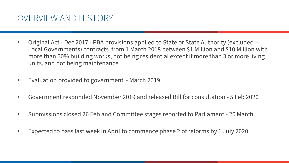#### OVERVIEW AND HISTORY

- Original Act Dec 2017 PBA provisions applied to State or State Authority (excluded Local Governments) contracts from 1 March 2018 between \$1 Million and \$10 Million with more than 50% building works, not being residential except if more than 3 or more living units, and not being maintenance
- Evaluation provided to government March 2019
- Government responded November 2019 and released Bill for consultation 5 Feb 2020
- Submissions closed 26 Feb and Committee stages reported to Parliament 20 March
- Expected to pass last week in April to commence phase 2 of reforms by 1 July 2020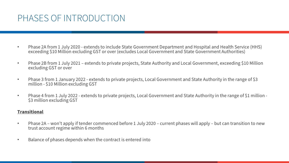### PHASES OF INTRODUCTION

- Phase 2A from 1 July 2020 extends to include State Government Department and Hospital and Health Service (HHS) exceeding \$10 Million excluding GST or over (excludes Local Government and State Government Authorities)
- Phase 2B from 1 July 2021 extends to private projects, State Authority and Local Government, exceeding \$10 Million excluding GST or over
- Phase 3 from 1 January 2022 extends to private projects, Local Government and State Authority in the range of \$3 million - \$10 Million excluding GST
- Phase 4 from 1 July 2022 extends to private projects, Local Government and State Authority in the range of \$1 million -<br>\$3 million excluding GST

#### **Transitional**

- Phase 2A won't apply if tender commenced before 1 July 2020 current phases will apply but can transition to new trust account regime within 6 months
- Balance of phases depends when the contract is entered into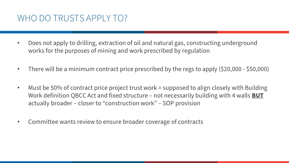### WHO DO TRUSTS APPLY TO?

- Does not apply to drilling, extraction of oil and natural gas, constructing underground works for the purposes of mining and work prescribed by regulation
- There will be a minimum contract price prescribed by the regs to apply (\$20,000 \$50,000)
- Must be 50% of contract price project trust work = supposed to align closely with Building Work definition QBCC Act and fixed structure – not necessarily building with 4 walls **BUT** actually broader – closer to "construction work" – SOP provision
- Committee wants review to ensure broader coverage of contracts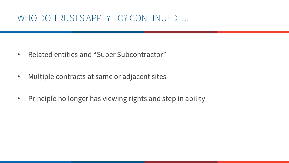### WHO DO TRUSTS APPLY TO? CONTINUED….

- Related entities and "Super Subcontractor"
- Multiple contracts at same or adjacent sites
- Principle no longer has viewing rights and step in ability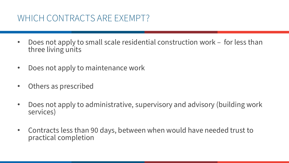### WHICH CONTRACTS ARE EXEMPT?

- Does not apply to small scale residential construction work for less than three living units
- Does not apply to maintenance work
- Others as prescribed
- Does not apply to administrative, supervisory and advisory (building work services)
- Contracts less than 90 days, between when would have needed trust to practical completion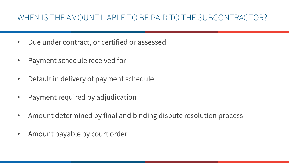#### WHEN IS THE AMOUNT LIABLE TO BE PAID TO THE SUBCONTRACTOR?

- Due under contract, or certified or assessed
- Payment schedule received for
- Default in delivery of payment schedule
- Payment required by adjudication
- Amount determined by final and binding dispute resolution process
- Amount payable by court order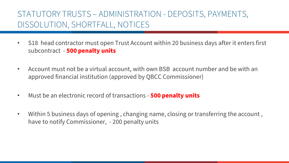#### STATUTORY TRUSTS – ADMINISTRATION - DEPOSITS, PAYMENTS, DISSOLUTION, SHORTFALL, NOTICES

- S18 head contractor must open Trust Account within 20 business days after it enters first subcontract - **500 penalty units**
- Account must not be a virtual account, with own BSB account number and be with an approved financial institution (approved by QBCC Commissioner)
- Must be an electronic record of transactions **500 penalty units**
- Within 5 business days of opening , changing name, closing or transferring the account , have to notify Commissioner, - 200 penalty units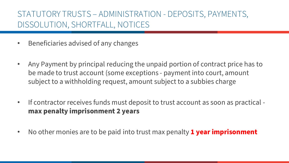#### STATUTORY TRUSTS – ADMINISTRATION - DEPOSITS, PAYMENTS, DISSOLUTION, SHORTFALL, NOTICES

- Beneficiaries advised of any changes
- Any Payment by principal reducing the unpaid portion of contract price has to be made to trust account (some exceptions - payment into court, amount subject to a withholding request, amount subject to a subbies charge
- If contractor receives funds must deposit to trust account as soon as practical **max penalty imprisonment 2 years**
- No other monies are to be paid into trust max penalty **1 year imprisonment**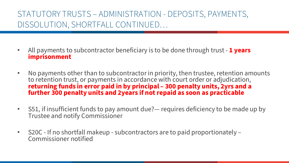#### STATUTORY TRUSTS – ADMINISTRATION - DEPOSITS, PAYMENTS, DISSOLUTION, SHORTFALL CONTINUED…

- All payments to subcontractor beneficiary is to be done through trust **1 years imprisonment**
- No payments other than to subcontractor in priority, then trustee, retention amounts to retention trust, or payments in accordance with court order or adjudication, **returning funds in error paid in by principal – 300 penalty units, 2yrs and a further 300 penalty units and 2years if not repaid as soon as practicable**
- S51, if insufficient funds to pay amount due?— requires deficiency to be made up by Trustee and notify Commissioner
- S20C If no shortfall makeup subcontractors are to paid proportionately Commissioner notified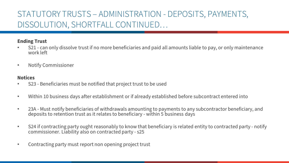#### STATUTORY TRUSTS – ADMINISTRATION - DEPOSITS, PAYMENTS, DISSOLUTION, SHORTFALL CONTINUED…

#### **Ending Trust**

- S21 can only dissolve trust if no more beneficiaries and paid all amounts liable to pay, or only maintenance work left
- Notify Commissioner

#### **Notices**

- S23 Beneficiaries must be notified that project trust to be used
- Within 10 business days after establishment or if already established before subcontract entered into
- 23A Must notify beneficiaries of withdrawals amounting to payments to any subcontractor beneficiary, and deposits to retention trust as it relates to beneficiary - within 5 business days
- S24 if contracting party ought reasonably to know that beneficiary is related entity to contracted party notify commissioner. Liability also on contracted party - s25
- Contracting party must report non opening project trust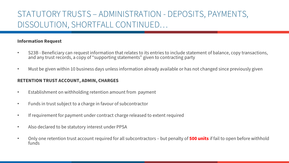#### STATUTORY TRUSTS – ADMINISTRATION - DEPOSITS, PAYMENTS, DISSOLUTION, SHORTFALL CONTINUED…

#### **Information Request**

- S23B Beneficiary can request information that relates to its entries to include statement of balance, copy transactions, and any trust records, a copy of "supporting statements" given to contracting party
- Must be given within 10 business days unless information already available or has not changed since previously given

#### **RETENTION TRUST ACCOUNT, ADMIN, CHARGES**

- Establishment on withholding retention amount from payment
- Funds in trust subject to a charge in favour of subcontractor
- If requirement for payment under contract charge released to extent required
- Also declared to be statutory interest under PPSA
- Only one retention trust account required for all subcontractors but penalty of **500 units** if fail to open before withhold funds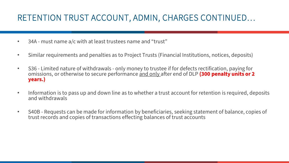### RETENTION TRUST ACCOUNT, ADMIN, CHARGES CONTINUED…

- 34A must name a/c with at least trustees name and "trust"
- Similar requirements and penalties as to Project Trusts (Financial Institutions, notices, deposits)
- S36 Limited nature of withdrawals only money to trustee if for defects rectification, paying for omissions, or otherwise to secure performance and only after end of DLP **(300 penalty units or 2 years.)**
- Information is to pass up and down line as to whether a trust account for retention is required, deposits and withdrawals
- S40B Requests can be made for information by beneficiaries, seeking statement of balance, copies of trust records and copies of transactions effecting balances of trust accounts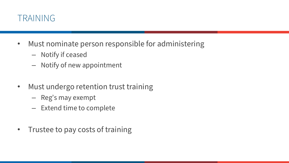

- Must nominate person responsible for administering
	- Notify if ceased
	- Notify of new appointment
- Must undergo retention trust training
	- Reg's may exempt
	- Extend time to complete
- Trustee to pay costs of training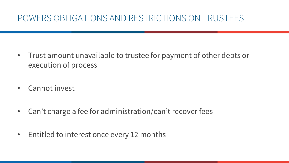# POWERS OBLIGATIONS AND RESTRICTIONS ON TRUSTEES

- Trust amount unavailable to trustee for payment of other debts or execution of process
- Cannot invest
- Can't charge a fee for administration/can't recover fees
- Entitled to interest once every 12 months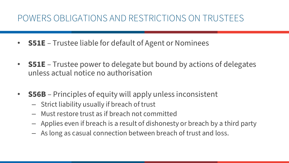# POWERS OBLIGATIONS AND RESTRICTIONS ON TRUSTEES

- **S51E** Trustee liable for default of Agent or Nominees
- **S51E**  Trustee power to delegate but bound by actions of delegates unless actual notice no authorisation
- **S56B** Principles of equity will apply unless inconsistent
	- Strict liability usually if breach of trust
	- Must restore trust as if breach not committed
	- Applies even if breach is a result of dishonesty or breach by a third party
	- As long as casual connection between breach of trust and loss.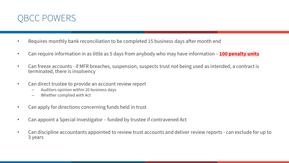

- Requires monthly bank reconciliation to be completed 15 business days after month end
- Can require information in as little as 5 days from anybody who may have information **100 penalty units**
- Can freeze accounts if MFR breaches, suspension, suspects trust not being used as intended, a contract is terminated, there is insolvency
- Can direct trustee to provide an account review report
	- Auditors opinion within 20 business days
	- Whether complied with Act
- Can apply for directions concerning funds held in trust
- Can appoint a Special Investigator funded by trustee if contravened Act
- Can discipline accountants appointed to review trust accounts and deliver review reports can exclude for up to 3 years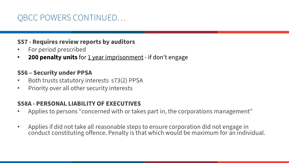#### **S57 - Requires review reports by auditors**

- For period prescribed
- **200 penalty units** for <u>1 year imprisonment</u> if don't engage

#### **S56 – Security under PPSA**

- Both trusts statutory interests s73(2) PPSA
- Priority over all other security interests

#### **S58A - PERSONAL LIABILITY OF EXECUTIVES**

- Applies to persons "concerned with or takes part in, the corporations management"
- Applies if did not take all reasonable steps to ensure corporation did not engage in conduct constituting offence. Penalty is that which would be maximum for an individual.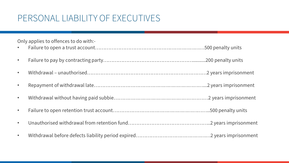# PERSONAL LIABILITY OF EXECUTIVES

| Only applies to offences to do with:- |  |  |
|---------------------------------------|--|--|
| $\bullet$ .                           |  |  |
| $\bullet$                             |  |  |
| $\bullet$                             |  |  |
| $\bullet$                             |  |  |
| $\bullet$                             |  |  |
| $\bullet$                             |  |  |
| $\bullet$                             |  |  |
| $\bullet$                             |  |  |
|                                       |  |  |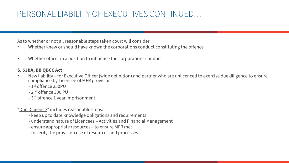#### PERSONAL LIABILITY OF EXECUTIVES CONTINUED…

As to whether or not all reasonable steps taken court will consider:

- Whether knew or should have known the corporations conduct constituting the offence
- Whether officer in a position to influence the corporations conduct

#### **S. 53BA, BB QBCC Act**

- New liability for Executive Officer (wide definition) and partner who are unlicenced to exercise due diligence to ensure compliance by Licensee of MFR provision
	- 1st offence 250PU
	- 2nd offence 300 PU
	- 3rd offence 1 year imprisonment

"Due Diligence" includes reasonable steps:-

- keep up to date knowledge obligations and requirements
- understand nature of Licencees Activities and Financial Management
- ensure appropriate resources to ensure MFR met
- to verify the provision use of resources and processes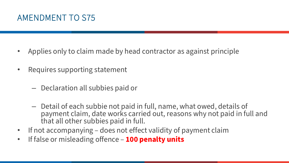### AMENDMENT TO S75

- Applies only to claim made by head contractor as against principle
- Requires supporting statement
	- Declaration all subbies paid or
	- Detail of each subbie not paid in full, name, what owed, details of payment claim, date works carried out, reasons why not paid in full and that all other subbies paid in full.
- If not accompanying does not effect validity of payment claim
- If false or misleading offence **100 penalty units**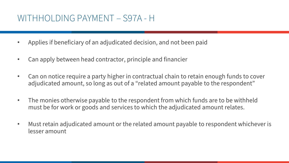### WITHHOLDING PAYMENT – S97A - H

- Applies if beneficiary of an adjudicated decision, and not been paid
- Can apply between head contractor, principle and financier
- Can on notice require a party higher in contractual chain to retain enough funds to cover adjudicated amount, so long as out of a "related amount payable to the respondent"
- The monies otherwise payable to the respondent from which funds are to be withheld must be for work or goods and services to which the adjudicated amount relates.
- Must retain adjudicated amount or the related amount payable to respondent whichever is lesser amount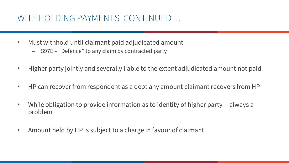### WITHHOLDING PAYMENTS CONTINUED…

- Must withhold until claimant paid adjudicated amount
	- S97E "Defence" to any claim by contracted party
- Higher party jointly and severally liable to the extent adjudicated amount not paid
- HP can recover from respondent as a debt any amount claimant recovers from HP
- While obligation to provide information as to identity of higher party —always a problem
- Amount held by HP is subject to a charge in favour of claimant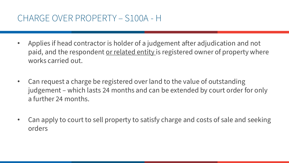### CHARGE OVER PROPERTY – S100A - H

- Applies if head contractor is holder of a judgement after adjudication and not paid, and the respondent or related entity is registered owner of property where works carried out.
- Can request a charge be registered over land to the value of outstanding judgement – which lasts 24 months and can be extended by court order for only a further 24 months.
- Can apply to court to sell property to satisfy charge and costs of sale and seeking orders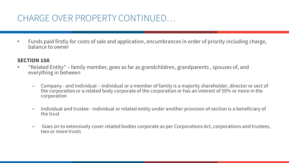## CHARGE OVER PROPERTY CONTINUED…

• Funds paid firstly for costs of sale and application, encumbrances in order of priority including charge, balance to owner

#### **SECTION 10A**

- "Related Entity" family member, goes as far as grandchildren, grandparents , spouses of, and everything in between
	- Company and individual individual or a member of family is a majority shareholder, director or sect of the corporation or a related body corporate of the corporation or has an interest of 50% or more in the corporation
	- Individual and trustee individual or related entity under another provision of section is a beneficiary of the trust
	- Goes on to extensively cover related bodies corporate as per Corporations Act, corporations and trustees, two or more trusts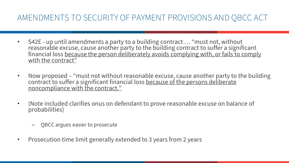#### AMENDMENTS TO SECURITY OF PAYMENT PROVISIONS AND QBCC ACT

- S42E up until amendments a party to a building contract … "must not, without reasonable excuse, cause another party to the building contract to suffer a significant financial loss because the person deliberately avoids complying with, or fails to comply with the contract"
- Now proposed "must not without reasonable excuse, cause another party to the building contract to suffer a significant financial loss because of the persons deliberate noncompliance with the contract."
- (Note included clarifies onus on defendant to prove reasonable excuse on balance of probabilities)
	- QBCC argues easier to prosecute
- Prosecution time limit generally extended to 3 years from 2 years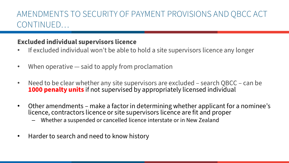#### AMENDMENTS TO SECURITY OF PAYMENT PROVISIONS AND QBCC ACT CONTINUED…

#### **Excluded individual supervisors licence**

- If excluded individual won't be able to hold a site supervisors licence any longer
- When operative said to apply from proclamation
- Need to be clear whether any site supervisors are excluded search QBCC can be **1000 penalty units** if not supervised by appropriately licensed individual
- Other amendments make a factor in determining whether applicant for a nominee's licence, contractors licence or site supervisors licence are fit and proper
	- Whether a suspended or cancelled licence interstate or in New Zealand
- Harder to search and need to know history